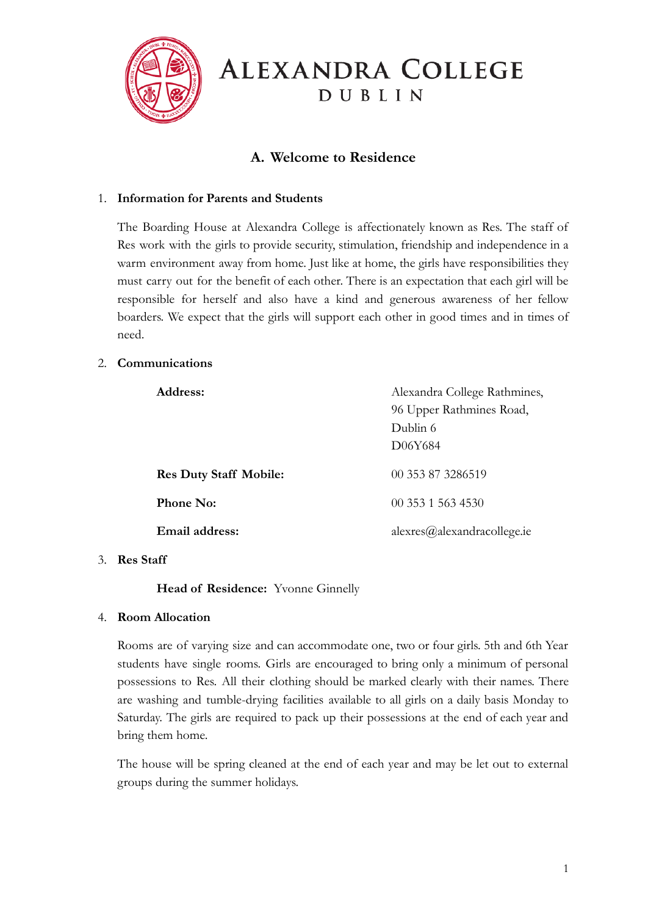

# ALEXANDRA COLLEGE DUBLIN

## **A. Welcome to Residence**

#### 1. **Information for Parents and Students**

The Boarding House at Alexandra College is affectionately known as Res. The staff of Res work with the girls to provide security, stimulation, friendship and independence in a warm environment away from home. Just like at home, the girls have responsibilities they must carry out for the benefit of each other. There is an expectation that each girl will be responsible for herself and also have a kind and generous awareness of her fellow boarders. We expect that the girls will support each other in good times and in times of need.

#### 2. **Communications**

| <b>Address:</b>               | Alexandra College Rathmines,<br>96 Upper Rathmines Road,<br>Dublin 6 |  |
|-------------------------------|----------------------------------------------------------------------|--|
|                               | D06Y684                                                              |  |
| <b>Res Duty Staff Mobile:</b> | 00 353 87 3286519                                                    |  |
| Phone No:                     | 00 353 1 563 4530                                                    |  |
| Email address:                | alexres@alex and racollege.ie                                        |  |

#### 3. **Res Staff**

**Head of Residence:** Yvonne Ginnelly

#### 4. **Room Allocation**

Rooms are of varying size and can accommodate one, two or four girls. 5th and 6th Year students have single rooms. Girls are encouraged to bring only a minimum of personal possessions to Res. All their clothing should be marked clearly with their names. There are washing and tumble-drying facilities available to all girls on a daily basis Monday to Saturday. The girls are required to pack up their possessions at the end of each year and bring them home.

The house will be spring cleaned at the end of each year and may be let out to external groups during the summer holidays.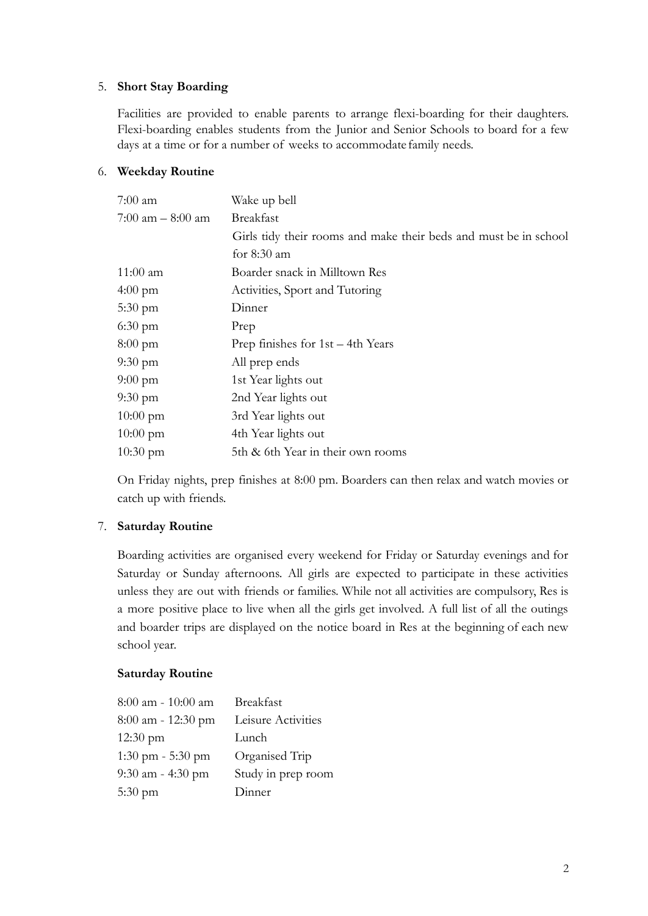#### 5. **Short Stay Boarding**

Facilities are provided to enable parents to arrange flexi-boarding for their daughters. Flexi-boarding enables students from the Junior and Senior Schools to board for a few days at a time or for a number of weeks to accommodate family needs.

#### 6. **Weekday Routine**

| $7:00 \text{ am}$    | Wake up bell                                                     |
|----------------------|------------------------------------------------------------------|
| $7:00$ am $-8:00$ am | <b>Breakfast</b>                                                 |
|                      | Girls tidy their rooms and make their beds and must be in school |
|                      | for $8:30$ am                                                    |
| $11:00$ am           | Boarder snack in Milltown Res                                    |
| $4:00 \text{ pm}$    | Activities, Sport and Tutoring                                   |
| $5:30 \text{ pm}$    | Dinner                                                           |
| $6:30 \text{ pm}$    | Prep                                                             |
| $8:00 \text{ pm}$    | Prep finishes for 1st – 4th Years                                |
| $9:30 \text{ pm}$    | All prep ends                                                    |
| $9:00 \text{ pm}$    | 1st Year lights out                                              |
| $9:30 \text{ pm}$    | 2nd Year lights out                                              |
| $10:00 \text{ pm}$   | 3rd Year lights out                                              |
| $10:00 \text{ pm}$   | 4th Year lights out                                              |
| $10:30 \text{ pm}$   | 5th & 6th Year in their own rooms                                |

On Friday nights, prep finishes at 8:00 pm. Boarders can then relax and watch movies or catch up with friends.

#### 7. **Saturday Routine**

Boarding activities are organised every weekend for Friday or Saturday evenings and for Saturday or Sunday afternoons. All girls are expected to participate in these activities unless they are out with friends or families. While not all activities are compulsory, Res is a more positive place to live when all the girls get involved. A full list of all the outings and boarder trips are displayed on the notice board in Res at the beginning of each new school year.

#### **Saturday Routine**

| $8:00$ am - 10:00 am                | <b>Breakfast</b>   |
|-------------------------------------|--------------------|
| $8:00$ am - 12:30 pm                | Leisure Activities |
| $12:30 \text{ pm}$                  | Lunch              |
| $1:30 \text{ pm} - 5:30 \text{ pm}$ | Organised Trip     |
| $9:30$ am - 4:30 pm                 | Study in prep room |
| $5:30 \text{ pm}$                   | Dinner             |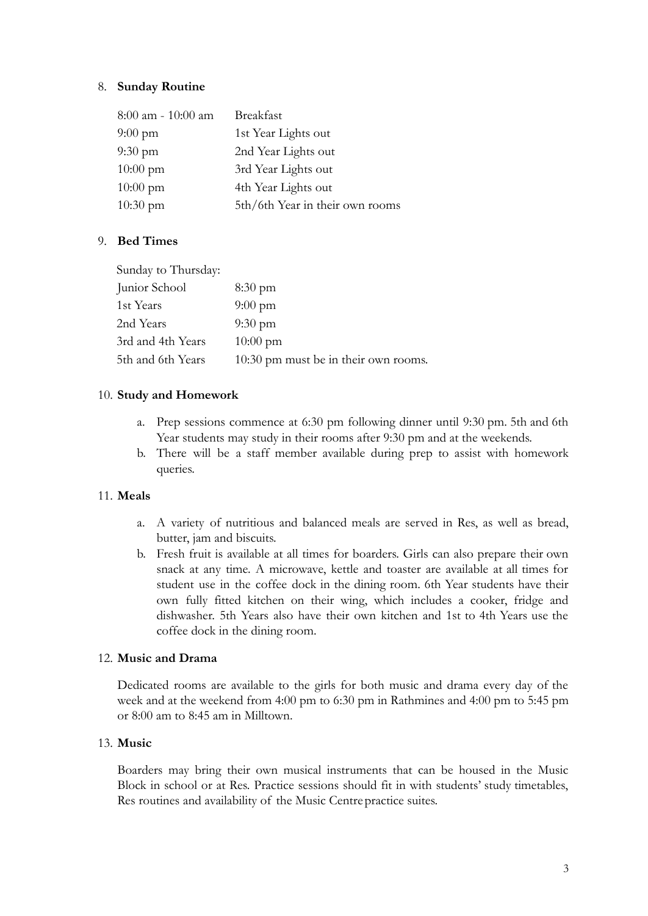#### 8. **Sunday Routine**

| 8:00 am - 10:00 am | Breakfast                       |
|--------------------|---------------------------------|
| $9:00 \text{ pm}$  | 1st Year Lights out             |
| $9:30 \text{ pm}$  | 2nd Year Lights out             |
| $10:00 \text{ pm}$ | 3rd Year Lights out             |
| $10:00 \text{ pm}$ | 4th Year Lights out             |
| $10:30 \text{ pm}$ | 5th/6th Year in their own rooms |

#### 9. **Bed Times**

| Sunday to Thursday: |                                      |
|---------------------|--------------------------------------|
| Junior School       | $8:30 \text{ pm}$                    |
| 1st Years           | $9:00 \text{ pm}$                    |
| 2nd Years           | $9:30 \text{ pm}$                    |
| 3rd and 4th Years   | $10:00 \text{ pm}$                   |
| 5th and 6th Years   | 10:30 pm must be in their own rooms. |

#### 10. **Study and Homework**

- a. Prep sessions commence at 6:30 pm following dinner until 9:30 pm. 5th and 6th Year students may study in their rooms after 9:30 pm and at the weekends.
- b. There will be a staff member available during prep to assist with homework queries.

#### 11. **Meals**

- a. A variety of nutritious and balanced meals are served in Res, as well as bread, butter, jam and biscuits.
- b. Fresh fruit is available at all times for boarders. Girls can also prepare their own snack at any time. A microwave, kettle and toaster are available at all times for student use in the coffee dock in the dining room. 6th Year students have their own fully fitted kitchen on their wing, which includes a cooker, fridge and dishwasher. 5th Years also have their own kitchen and 1st to 4th Years use the coffee dock in the dining room.

#### 12. **Music and Drama**

Dedicated rooms are available to the girls for both music and drama every day of the week and at the weekend from 4:00 pm to 6:30 pm in Rathmines and 4:00 pm to 5:45 pm or 8:00 am to 8:45 am in Milltown.

#### 13. **Music**

Boarders may bring their own musical instruments that can be housed in the Music Block in school or at Res. Practice sessions should fit in with students' study timetables, Res routines and availability of the Music Centrepractice suites.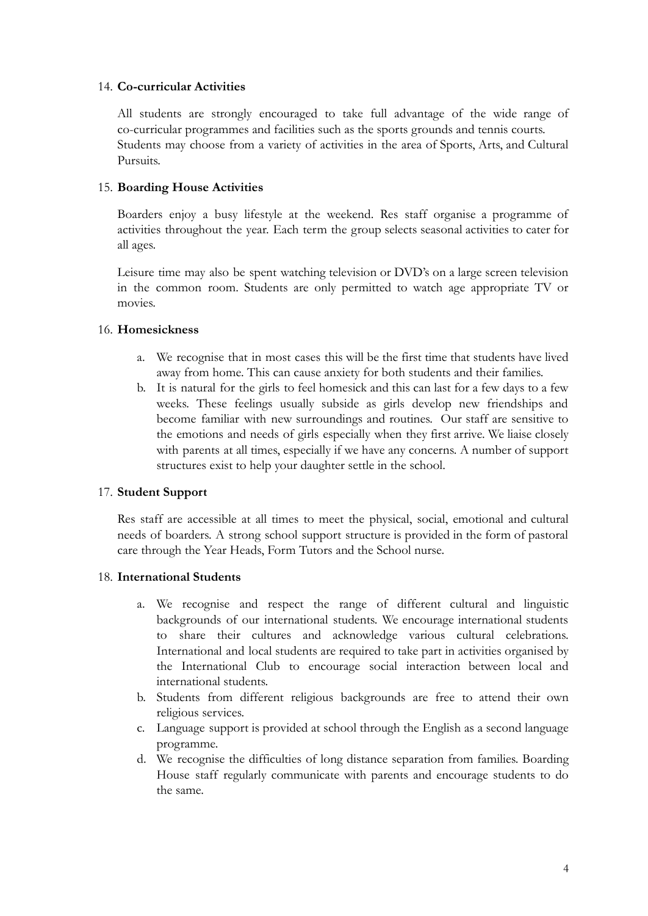#### 14. **Co-curricular Activities**

All students are strongly encouraged to take full advantage of the wide range of co-curricular programmes and facilities such as the sports grounds and tennis courts. Students may choose from a variety of activities in the area of Sports, Arts, and Cultural Pursuits.

#### 15. **Boarding House Activities**

Boarders enjoy a busy lifestyle at the weekend. Res staff organise a programme of activities throughout the year. Each term the group selects seasonal activities to cater for all ages.

Leisure time may also be spent watching television or DVD's on a large screen television in the common room. Students are only permitted to watch age appropriate TV or movies.

#### 16. **Homesickness**

- a. We recognise that in most cases this will be the first time that students have lived away from home. This can cause anxiety for both students and their families.
- b. It is natural for the girls to feel homesick and this can last for a few days to a few weeks. These feelings usually subside as girls develop new friendships and become familiar with new surroundings and routines. Our staff are sensitive to the emotions and needs of girls especially when they first arrive. We liaise closely with parents at all times, especially if we have any concerns. A number of support structures exist to help your daughter settle in the school.

#### 17. **Student Support**

Res staff are accessible at all times to meet the physical, social, emotional and cultural needs of boarders. A strong school support structure is provided in the form of pastoral care through the Year Heads, Form Tutors and the School nurse.

#### 18. **International Students**

- a. We recognise and respect the range of different cultural and linguistic backgrounds of our international students. We encourage international students to share their cultures and acknowledge various cultural celebrations. International and local students are required to take part in activities organised by the International Club to encourage social interaction between local and international students.
- b. Students from different religious backgrounds are free to attend their own religious services.
- c. Language support is provided at school through the English as a second language programme.
- d. We recognise the difficulties of long distance separation from families. Boarding House staff regularly communicate with parents and encourage students to do the same.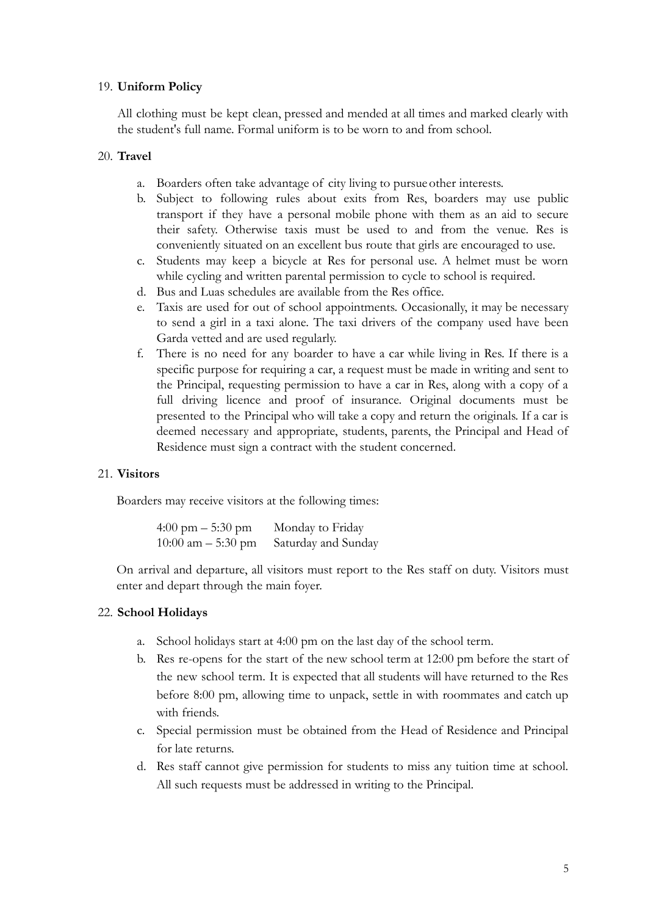#### 19. **Uniform Policy**

All clothing must be kept clean, pressed and mended at all times and marked clearly with the student's full name. Formal uniform is to be worn to and from school.

#### 20. **Travel**

- a. Boarders often take advantage of city living to pursueother interests.
- b. Subject to following rules about exits from Res, boarders may use public transport if they have a personal mobile phone with them as an aid to secure their safety. Otherwise taxis must be used to and from the venue. Res is conveniently situated on an excellent bus route that girls are encouraged to use.
- c. Students may keep a bicycle at Res for personal use. A helmet must be worn while cycling and written parental permission to cycle to school is required.
- d. Bus and Luas schedules are available from the Res office.
- e. Taxis are used for out of school appointments. Occasionally, it may be necessary to send a girl in a taxi alone. The taxi drivers of the company used have been Garda vetted and are used regularly.
- f. There is no need for any boarder to have a car while living in Res. If there is a specific purpose for requiring a car, a request must be made in writing and sent to the Principal, requesting permission to have a car in Res, along with a copy of a full driving licence and proof of insurance. Original documents must be presented to the Principal who will take a copy and return the originals. If a car is deemed necessary and appropriate, students, parents, the Principal and Head of Residence must sign a contract with the student concerned.

#### 21. **Visitors**

Boarders may receive visitors at the following times:

| $4:00 \text{ pm} - 5:30 \text{ pm}$ | Monday to Friday    |
|-------------------------------------|---------------------|
| $10:00$ am $-5:30$ pm               | Saturday and Sunday |

On arrival and departure, all visitors must report to the Res staff on duty. Visitors must enter and depart through the main foyer.

#### 22. **School Holidays**

- a. School holidays start at 4:00 pm on the last day of the school term.
- b. Res re-opens for the start of the new school term at 12:00 pm before the start of the new school term. It is expected that all students will have returned to the Res before 8:00 pm, allowing time to unpack, settle in with roommates and catch up with friends.
- c. Special permission must be obtained from the Head of Residence and Principal for late returns.
- d. Res staff cannot give permission for students to miss any tuition time at school. All such requests must be addressed in writing to the Principal.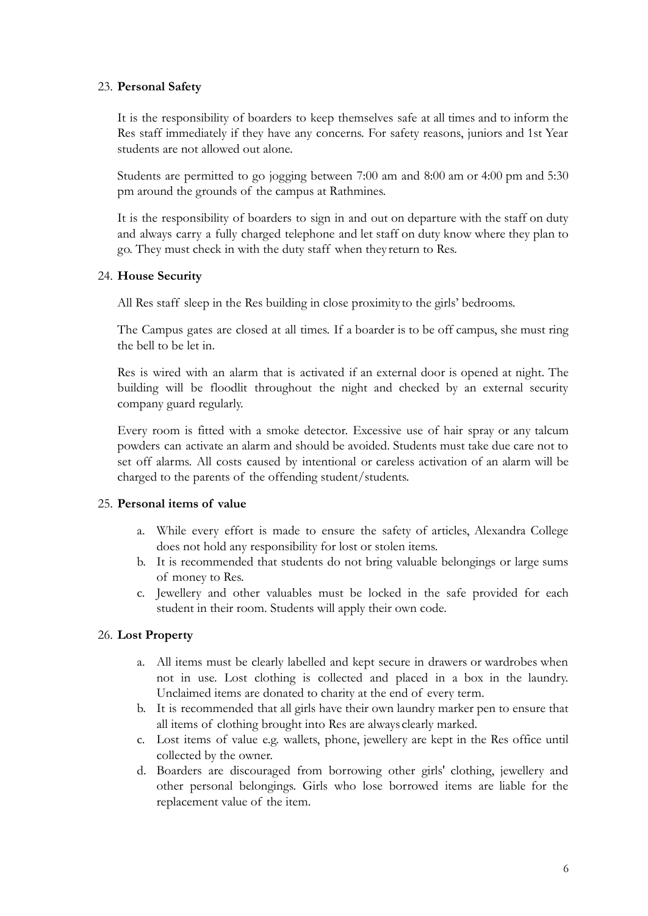#### 23. **Personal Safety**

It is the responsibility of boarders to keep themselves safe at all times and to inform the Res staff immediately if they have any concerns. For safety reasons, juniors and 1st Year students are not allowed out alone.

Students are permitted to go jogging between 7:00 am and 8:00 am or 4:00 pm and 5:30 pm around the grounds of the campus at Rathmines.

It is the responsibility of boarders to sign in and out on departure with the staff on duty and always carry a fully charged telephone and let staff on duty know where they plan to go. They must check in with the duty staff when they return to Res.

#### 24. **House Security**

All Res staff sleep in the Res building in close proximity to the girls' bedrooms.

The Campus gates are closed at all times. If a boarder is to be off campus, she must ring the bell to be let in.

Res is wired with an alarm that is activated if an external door is opened at night. The building will be floodlit throughout the night and checked by an external security company guard regularly.

Every room is fitted with a smoke detector. Excessive use of hair spray or any talcum powders can activate an alarm and should be avoided. Students must take due care not to set off alarms. All costs caused by intentional or careless activation of an alarm will be charged to the parents of the offending student/students.

#### 25. **Personal items of value**

- a. While every effort is made to ensure the safety of articles, Alexandra College does not hold any responsibility for lost or stolen items.
- b. It is recommended that students do not bring valuable belongings or large sums of money to Res.
- c. Jewellery and other valuables must be locked in the safe provided for each student in their room. Students will apply their own code.

#### 26. **Lost Property**

- a. All items must be clearly labelled and kept secure in drawers or wardrobes when not in use. Lost clothing is collected and placed in a box in the laundry. Unclaimed items are donated to charity at the end of every term.
- b. It is recommended that all girls have their own laundry marker pen to ensure that all items of clothing brought into Res are always clearly marked.
- c. Lost items of value e.g. wallets, phone, jewellery are kept in the Res office until collected by the owner.
- d. Boarders are discouraged from borrowing other girls' clothing, jewellery and other personal belongings. Girls who lose borrowed items are liable for the replacement value of the item.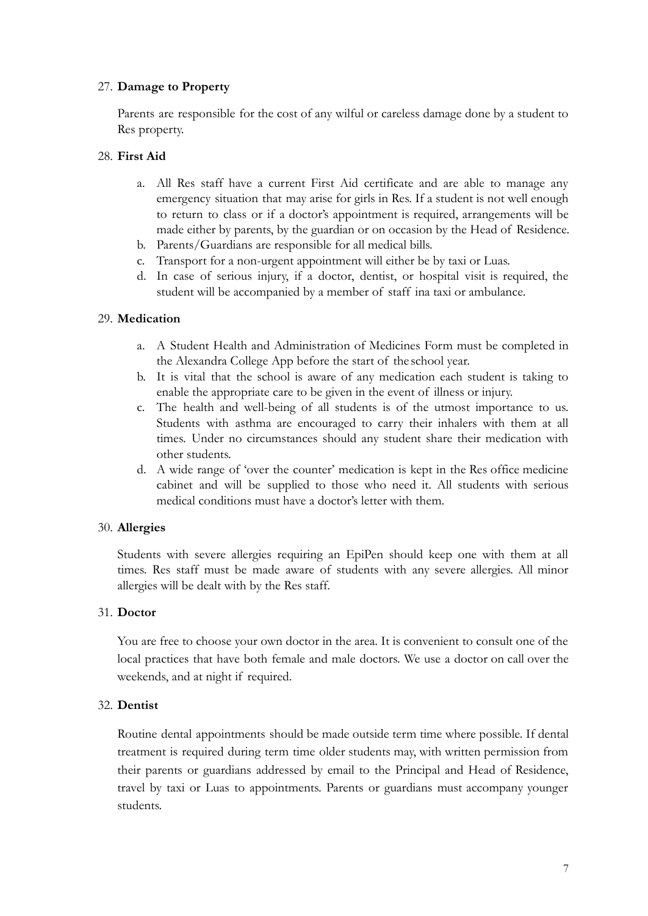#### 27. **Damage to Property**

Parents are responsible for the cost of any wilful or careless damage done by a student to Res property.

#### 28. **First Aid**

- a. All Res staff have a current First Aid certificate and are able to manage any emergency situation that may arise for girls in Res. If a student is not well enough to return to class or if a doctor's appointment is required, arrangements will be made either by parents, by the guardian or on occasion by the Head of Residence.
- b. Parents/Guardians are responsible for all medical bills.
- c. Transport for a non-urgent appointment will either be by taxi or Luas.
- d. In case of serious injury, if a doctor, dentist, or hospital visit is required, the student will be accompanied by a member of staff ina taxi or ambulance.

#### 29. **Medication**

- a. A Student Health and Administration of Medicines Form must be completed in the Alexandra College App before the start of the school year.
- b. It is vital that the school is aware of any medication each student is taking to enable the appropriate care to be given in the event of illness or injury.
- c. The health and well-being of all students is of the utmost importance to us. Students with asthma are encouraged to carry their inhalers with them at all times. Under no circumstances should any student share their medication with other students.
- d. A wide range of 'over the counter' medication is kept in the Res office medicine cabinet and will be supplied to those who need it. All students with serious medical conditions must have a doctor's letter with them.

#### 30. **Allergies**

Students with severe allergies requiring an EpiPen should keep one with them at all times. Res staff must be made aware of students with any severe allergies. All minor allergies will be dealt with by the Res staff.

#### 31. **Doctor**

You are free to choose your own doctor in the area. It is convenient to consult one of the local practices that have both female and male doctors. We use a doctor on call over the weekends, and at night if required.

#### 32. **Dentist**

Routine dental appointments should be made outside term time where possible. If dental treatment is required during term time older students may, with written permission from their parents or guardians addressed by email to the Principal and Head of Residence, travel by taxi or Luas to appointments. Parents or guardians must accompany younger students.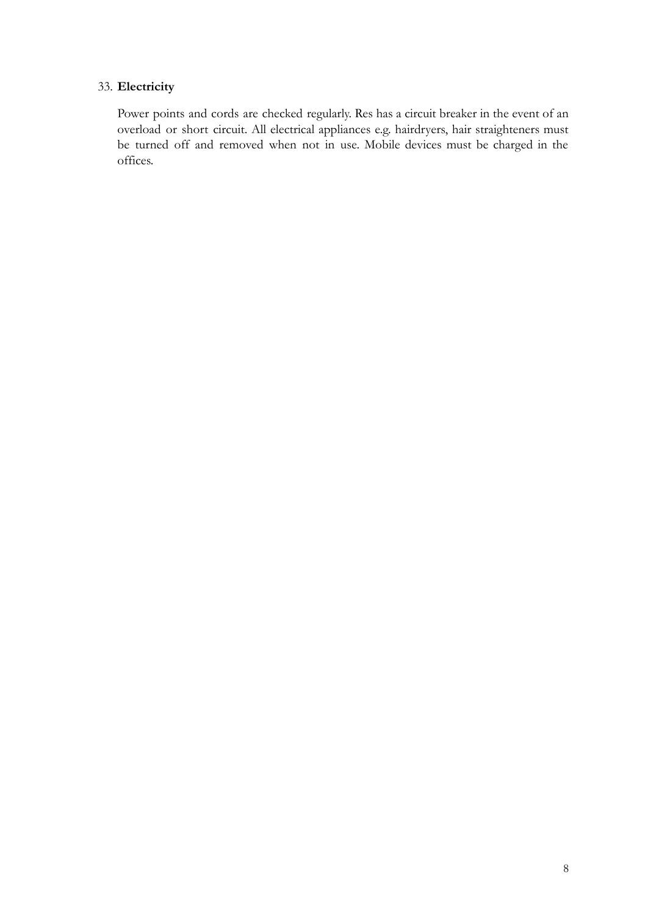## 33. **Electricity**

Power points and cords are checked regularly. Res has a circuit breaker in the event of an overload or short circuit. All electrical appliances e.g. hairdryers, hair straighteners must be turned off and removed when not in use. Mobile devices must be charged in the offices.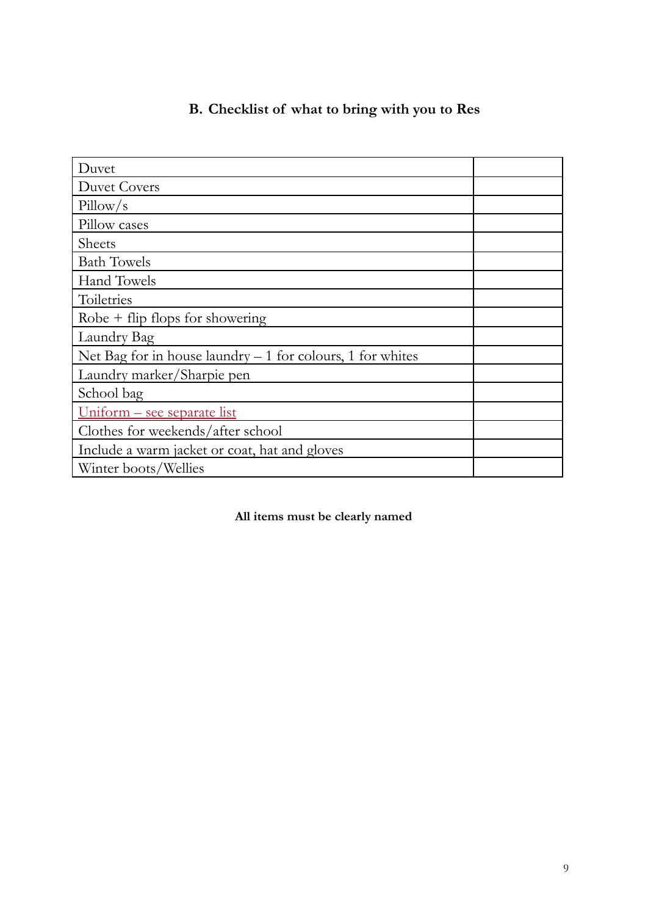# **B. Checklist of what to bring with you to Res**

| Duvet                                                       |  |
|-------------------------------------------------------------|--|
| Duvet Covers                                                |  |
| Pillow/s                                                    |  |
| Pillow cases                                                |  |
| <b>Sheets</b>                                               |  |
| <b>Bath Towels</b>                                          |  |
| Hand Towels                                                 |  |
| Toiletries                                                  |  |
| $Robe + flip flops for showing$                             |  |
| Laundry Bag                                                 |  |
| Net Bag for in house laundry $-1$ for colours, 1 for whites |  |
| Laundry marker/Sharpie pen                                  |  |
| School bag                                                  |  |
| <u> Uniform – see separate list</u>                         |  |
| Clothes for weekends/after school                           |  |
| Include a warm jacket or coat, hat and gloves               |  |
| Winter boots/Wellies                                        |  |

**All items must be clearly named**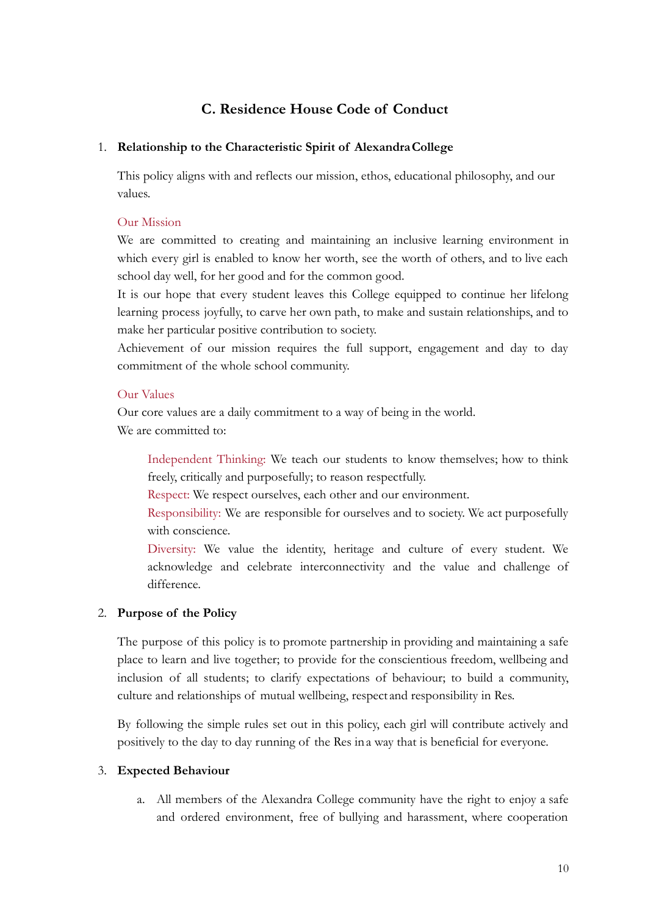## **C. Residence House Code of Conduct**

#### 1. **Relationship to the Characteristic Spirit of AlexandraCollege**

This policy aligns with and reflects our mission, ethos, educational philosophy, and our values.

#### Our Mission

We are committed to creating and maintaining an inclusive learning environment in which every girl is enabled to know her worth, see the worth of others, and to live each school day well, for her good and for the common good.

It is our hope that every student leaves this College equipped to continue her lifelong learning process joyfully, to carve her own path, to make and sustain relationships, and to make her particular positive contribution to society.

Achievement of our mission requires the full support, engagement and day to day commitment of the whole school community.

#### Our Values

Our core values are a daily commitment to a way of being in the world.

We are committed to:

Independent Thinking: We teach our students to know themselves; how to think freely, critically and purposefully; to reason respectfully.

Respect: We respect ourselves, each other and our environment.

Responsibility: We are responsible for ourselves and to society. We act purposefully with conscience.

Diversity: We value the identity, heritage and culture of every student. We acknowledge and celebrate interconnectivity and the value and challenge of difference.

#### 2. **Purpose of the Policy**

The purpose of this policy is to promote partnership in providing and maintaining a safe place to learn and live together; to provide for the conscientious freedom, wellbeing and inclusion of all students; to clarify expectations of behaviour; to build a community, culture and relationships of mutual wellbeing, respect and responsibility in Res.

By following the simple rules set out in this policy, each girl will contribute actively and positively to the day to day running of the Res ina way that is beneficial for everyone.

#### 3. **Expected Behaviour**

a. All members of the Alexandra College community have the right to enjoy a safe and ordered environment, free of bullying and harassment, where cooperation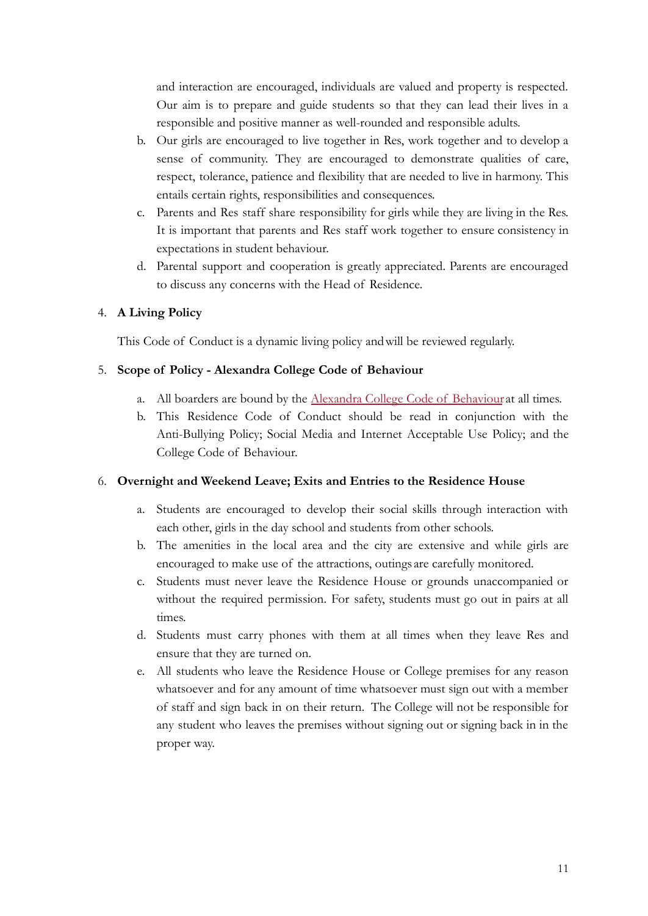and interaction are encouraged, individuals are valued and property is respected. Our aim is to prepare and guide students so that they can lead their lives in a responsible and positive manner as well-rounded and responsible adults.

- b. Our girls are encouraged to live together in Res, work together and to develop a sense of community. They are encouraged to demonstrate qualities of care, respect, tolerance, patience and flexibility that are needed to live in harmony. This entails certain rights, responsibilities and consequences.
- c. Parents and Res staff share responsibility for girls while they are living in the Res. It is important that parents and Res staff work together to ensure consistency in expectations in student behaviour.
- d. Parental support and cooperation is greatly appreciated. Parents are encouraged to discuss any concerns with the Head of Residence.

#### 4. **A Living Policy**

This Code of Conduct is a dynamic living policy andwill be reviewed regularly.

#### 5. **Scope of Policy - Alexandra College Code of Behaviour**

- a. All boarders are bound by the [Alexandra College Code](https://alexandracollege.eu/docs/Policies/Code_of_Behaviour_and_Disciplinary_Procedure_2020_Draft_for_consultation.pdf) of Behaviour at all times.
- b. This Residence Code of Conduct should be read in conjunction with the Anti-Bullying Policy; Social Media and Internet Acceptable Use Policy; and the College Code of Behaviour.

#### 6. **Overnight and Weekend Leave; Exits and Entries to the Residence House**

- a. Students are encouraged to develop their social skills through interaction with each other, girls in the day school and students from other schools.
- b. The amenities in the local area and the city are extensive and while girls are encouraged to make use of the attractions, outings are carefully monitored.
- c. Students must never leave the Residence House or grounds unaccompanied or without the required permission. For safety, students must go out in pairs at all times.
- d. Students must carry phones with them at all times when they leave Res and ensure that they are turned on.
- e. All students who leave the Residence House or College premises for any reason whatsoever and for any amount of time whatsoever must sign out with a member of staff and sign back in on their return. The College will not be responsible for any student who leaves the premises without signing out or signing back in in the proper way.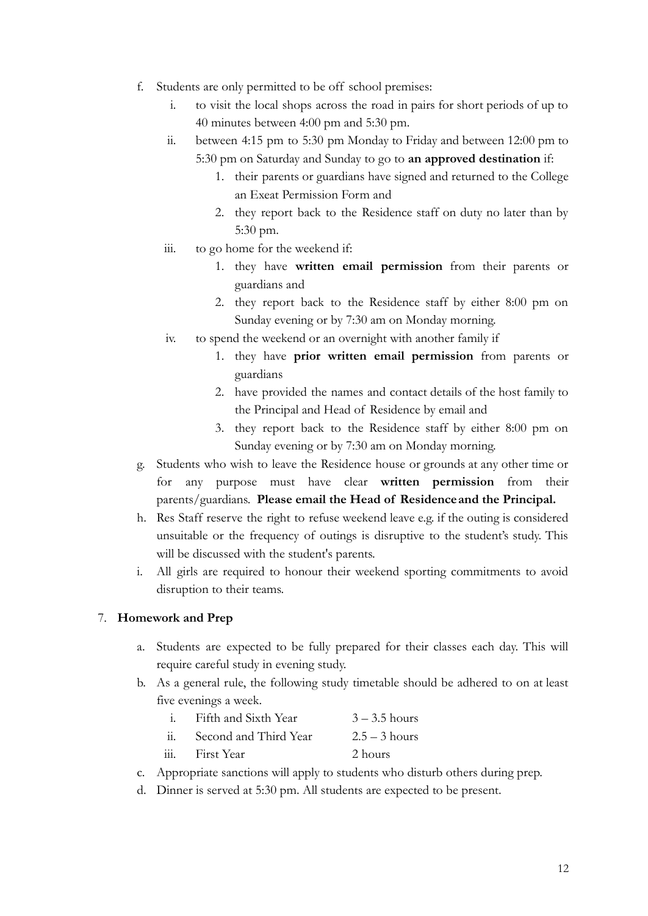- f. Students are only permitted to be off school premises:
	- i. to visit the local shops across the road in pairs for short periods of up to 40 minutes between 4:00 pm and 5:30 pm.
	- ii. between 4:15 pm to 5:30 pm Monday to Friday and between 12:00 pm to 5:30 pm on Saturday and Sunday to go to **an approved destination** if:
		- 1. their parents or guardians have signed and returned to the College an Exeat Permission Form and
		- 2. they report back to the Residence staff on duty no later than by 5:30 pm.
	- iii. to go home for the weekend if:
		- 1. they have **written email permission** from their parents or guardians and
		- 2. they report back to the Residence staff by either 8:00 pm on Sunday evening or by 7:30 am on Monday morning.
	- iv. to spend the weekend or an overnight with another family if
		- 1. they have **prior written email permission** from parents or guardians
		- 2. have provided the names and contact details of the host family to the Principal and Head of Residence by email and
		- 3. they report back to the Residence staff by either 8:00 pm on Sunday evening or by 7:30 am on Monday morning.
- g. Students who wish to leave the Residence house or grounds at any other time or for any purpose must have clear **written permission** from their parents/guardians. **Please email the Head of Residenceand the Principal.**
- h. Res Staff reserve the right to refuse weekend leave e.g. if the outing is considered unsuitable or the frequency of outings is disruptive to the student's study. This will be discussed with the student's parents.
- i. All girls are required to honour their weekend sporting commitments to avoid disruption to their teams.

#### 7. **Homework and Prep**

- a. Students are expected to be fully prepared for their classes each day. This will require careful study in evening study.
- b. As a general rule, the following study timetable should be adhered to on at least five evenings a week.

| Fifth and Sixth Year | $3 - 3.5$ hours |
|----------------------|-----------------|
|----------------------|-----------------|

- ii. Second and Third Year  $2.5 3$  hours
- iii. First Year 2 hours
- c. Appropriate sanctions will apply to students who disturb others during prep.
- d. Dinner is served at 5:30 pm. All students are expected to be present.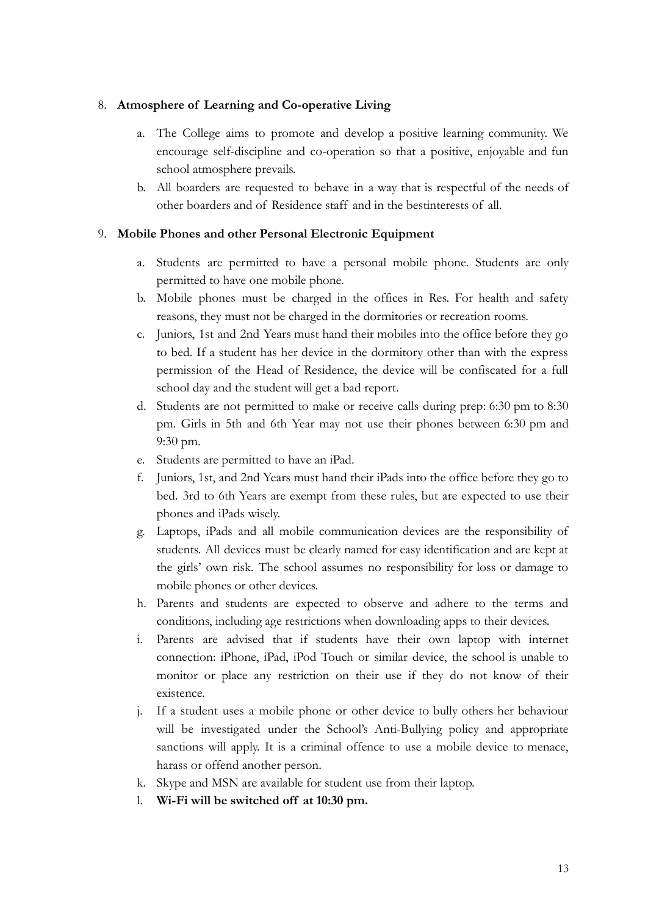#### 8. **Atmosphere of Learning and Co-operative Living**

- a. The College aims to promote and develop a positive learning community. We encourage self-discipline and co-operation so that a positive, enjoyable and fun school atmosphere prevails.
- b. All boarders are requested to behave in a way that is respectful of the needs of other boarders and of Residence staff and in the bestinterests of all.

#### 9. **Mobile Phones and other Personal Electronic Equipment**

- a. Students are permitted to have a personal mobile phone. Students are only permitted to have one mobile phone.
- b. Mobile phones must be charged in the offices in Res. For health and safety reasons, they must not be charged in the dormitories or recreation rooms.
- c. Juniors, 1st and 2nd Years must hand their mobiles into the office before they go to bed. If a student has her device in the dormitory other than with the express permission of the Head of Residence, the device will be confiscated for a full school day and the student will get a bad report.
- d. Students are not permitted to make or receive calls during prep: 6:30 pm to 8:30 pm. Girls in 5th and 6th Year may not use their phones between 6:30 pm and 9:30 pm.
- e. Students are permitted to have an iPad.
- f. Juniors, 1st, and 2nd Years must hand their iPads into the office before they go to bed. 3rd to 6th Years are exempt from these rules, but are expected to use their phones and iPads wisely.
- g. Laptops, iPads and all mobile communication devices are the responsibility of students. All devices must be clearly named for easy identification and are kept at the girls' own risk. The school assumes no responsibility for loss or damage to mobile phones or other devices.
- h. Parents and students are expected to observe and adhere to the terms and conditions, including age restrictions when downloading apps to their devices.
- i. Parents are advised that if students have their own laptop with internet connection: iPhone, iPad, iPod Touch or similar device, the school is unable to monitor or place any restriction on their use if they do not know of their existence.
- j. If a student uses a mobile phone or other device to bully others her behaviour will be investigated under the School's Anti-Bullying policy and appropriate sanctions will apply. It is a criminal offence to use a mobile device to menace, harass or offend another person.
- k. Skype and MSN are available for student use from their laptop.
- l. **Wi-Fi will be switched off at 10:30 pm.**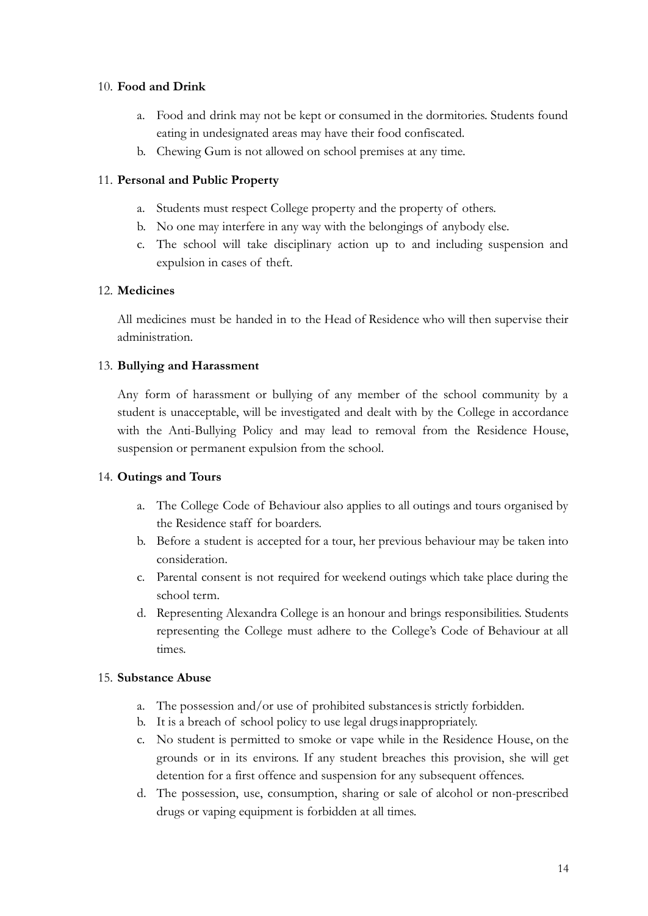#### 10. **Food and Drink**

- a. Food and drink may not be kept or consumed in the dormitories. Students found eating in undesignated areas may have their food confiscated.
- b. Chewing Gum is not allowed on school premises at any time.

#### 11. **Personal and Public Property**

- a. Students must respect College property and the property of others.
- b. No one may interfere in any way with the belongings of anybody else.
- c. The school will take disciplinary action up to and including suspension and expulsion in cases of theft.

### 12. **Medicines**

All medicines must be handed in to the Head of Residence who will then supervise their administration.

### 13. **Bullying and Harassment**

Any form of harassment or bullying of any member of the school community by a student is unacceptable, will be investigated and dealt with by the College in accordance with the Anti-Bullying Policy and may lead to removal from the Residence House, suspension or permanent expulsion from the school.

#### 14. **Outings and Tours**

- a. The College Code of Behaviour also applies to all outings and tours organised by the Residence staff for boarders.
- b. Before a student is accepted for a tour, her previous behaviour may be taken into consideration.
- c. Parental consent is not required for weekend outings which take place during the school term.
- d. Representing Alexandra College is an honour and brings responsibilities. Students representing the College must adhere to the College's Code of Behaviour at all times.

#### 15. **Substance Abuse**

- a. The possession and/or use of prohibited substancesis strictly forbidden.
- b. It is a breach of school policy to use legal drugsinappropriately.
- c. No student is permitted to smoke or vape while in the Residence House, on the grounds or in its environs. If any student breaches this provision, she will get detention for a first offence and suspension for any subsequent offences.
- d. The possession, use, consumption, sharing or sale of alcohol or non-prescribed drugs or vaping equipment is forbidden at all times.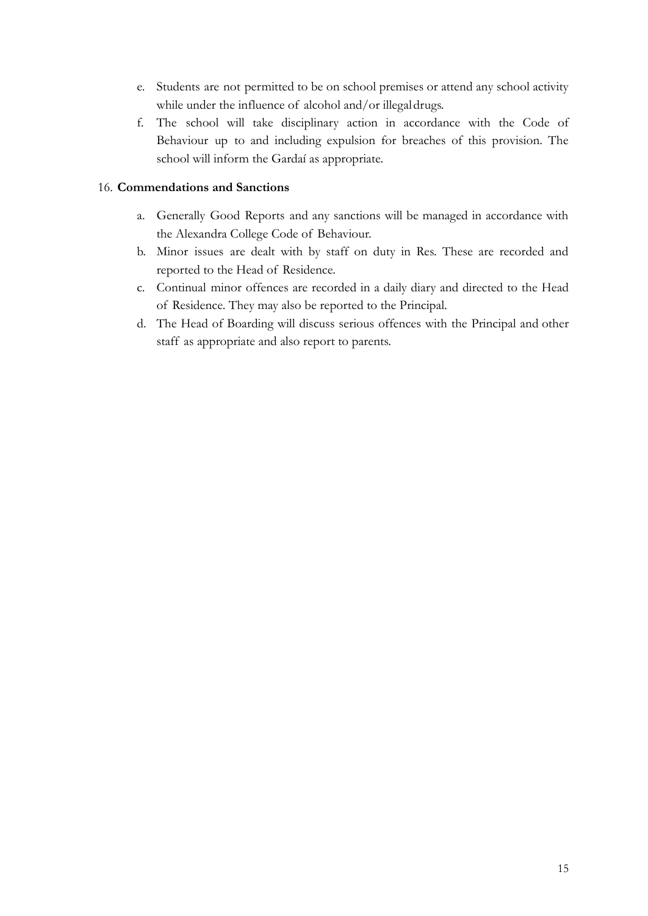- e. Students are not permitted to be on school premises or attend any school activity while under the influence of alcohol and/or illegaldrugs.
- f. The school will take disciplinary action in accordance with the Code of Behaviour up to and including expulsion for breaches of this provision. The school will inform the Gardaí as appropriate.

#### 16. **Commendations and Sanctions**

- a. Generally Good Reports and any sanctions will be managed in accordance with the Alexandra College Code of Behaviour.
- b. Minor issues are dealt with by staff on duty in Res. These are recorded and reported to the Head of Residence.
- c. Continual minor offences are recorded in a daily diary and directed to the Head of Residence. They may also be reported to the Principal.
- d. The Head of Boarding will discuss serious offences with the Principal and other staff as appropriate and also report to parents.